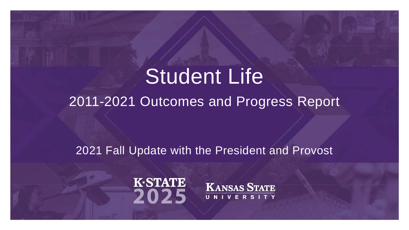#### Student Life

2011-2021 Outcomes and Progress Report

#### 2021 Fall Update with the President and Provost



**KANSAS STATE** UNIVERSITY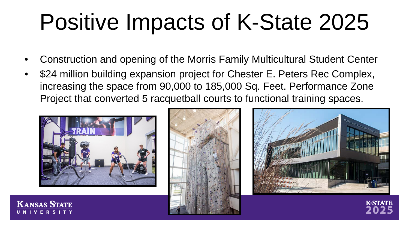- Construction and opening of the Morris Family Multicultural Student Center
- \$24 million building expansion project for Chester E. Peters Rec Complex, increasing the space from 90,000 to 185,000 Sq. Feet. Performance Zone Project that converted 5 racquetball courts to functional training spaces.



**KANSAS STATE** 



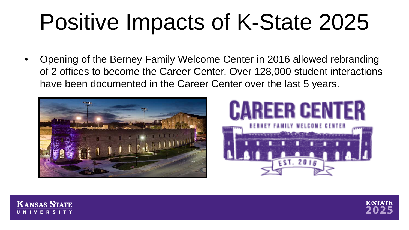• Opening of the Berney Family Welcome Center in 2016 allowed rebranding of 2 offices to become the Career Center. Over 128,000 student interactions have been documented in the Career Center over the last 5 years.







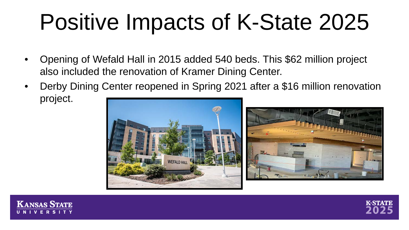- Opening of Wefald Hall in 2015 added 540 beds. This \$62 million project also included the renovation of Kramer Dining Center.
- Derby Dining Center reopened in Spring 2021 after a \$16 million renovation project.





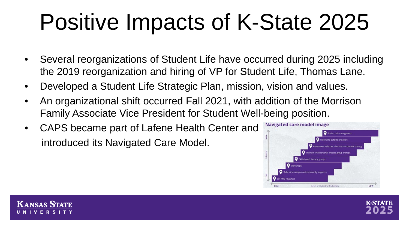- Several reorganizations of Student Life have occurred during 2025 including the 2019 reorganization and hiring of VP for Student Life, Thomas Lane.
- Developed a Student Life Strategic Plan, mission, vision and values.
- An organizational shift occurred Fall 2021, with addition of the Morrison Family Associate Vice President for Student Well-being position.
- CAPS became part of Lafene Health Center and introduced its Navigated Care Model.



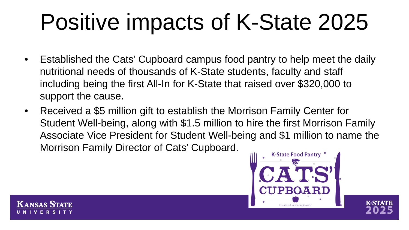- Established the Cats' Cupboard campus food pantry to help meet the daily nutritional needs of thousands of K-State students, faculty and staff including being the first All-In for K-State that raised over \$320,000 to support the cause.
- Received a \$5 million gift to establish the Morrison Family Center for Student Well-being, along with \$1.5 million to hire the first Morrison Family Associate Vice President for Student Well-being and \$1 million to name the Morrison Family Director of Cats' Cupboard.



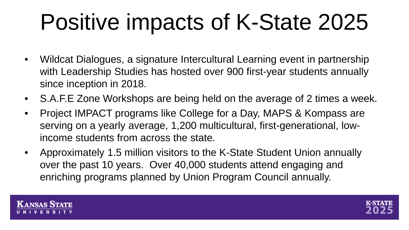- Wildcat Dialogues, a signature Intercultural Learning event in partnership with Leadership Studies has hosted over 900 first-year students annually since inception in 2018.
- S.A.F.E Zone Workshops are being held on the average of 2 times a week.
- Project IMPACT programs like College for a Day, MAPS & Kompass are serving on a yearly average, 1,200 multicultural, first-generational, lowincome students from across the state.
- Approximately 1.5 million visitors to the K-State Student Union annually over the past 10 years. Over 40,000 students attend engaging and enriching programs planned by Union Program Council annually.



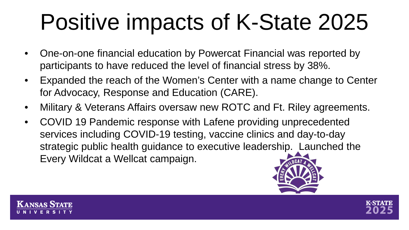- One-on-one financial education by Powercat Financial was reported by participants to have reduced the level of financial stress by 38%.
- Expanded the reach of the Women's Center with a name change to Center for Advocacy, Response and Education (CARE).
- Military & Veterans Affairs oversaw new ROTC and Ft. Riley agreements.
- COVID 19 Pandemic response with Lafene providing unprecedented services including COVID-19 testing, vaccine clinics and day-to-day strategic public health guidance to executive leadership. Launched the Every Wildcat a Wellcat campaign.





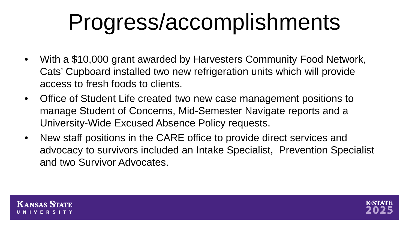## Progress/accomplishments

- With a \$10,000 grant awarded by Harvesters Community Food Network, Cats' Cupboard installed two new refrigeration units which will provide access to fresh foods to clients.
- Office of Student Life created two new case management positions to manage Student of Concerns, Mid-Semester Navigate reports and a University-Wide Excused Absence Policy requests.
- New staff positions in the CARE office to provide direct services and advocacy to survivors included an Intake Specialist, Prevention Specialist and two Survivor Advocates.



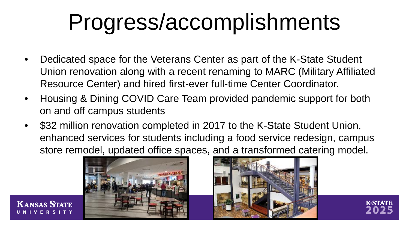#### Progress/accomplishments

- Dedicated space for the Veterans Center as part of the K-State Student Union renovation along with a recent renaming to MARC (Military Affiliated Resource Center) and hired first-ever full-time Center Coordinator.
- Housing & Dining COVID Care Team provided pandemic support for both on and off campus students
- \$32 million renovation completed in 2017 to the K-State Student Union, enhanced services for students including a food service redesign, campus store remodel, updated office spaces, and a transformed catering model.



**KANSAS STATE** 



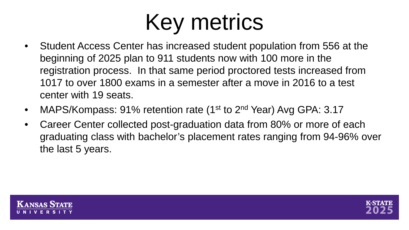- Student Access Center has increased student population from 556 at the beginning of 2025 plan to 911 students now with 100 more in the registration process. In that same period proctored tests increased from 1017 to over 1800 exams in a semester after a move in 2016 to a test center with 19 seats.
- MAPS/Kompass: 91% retention rate (1<sup>st</sup> to 2<sup>nd</sup> Year) Avg GPA: 3.17
- Career Center collected post-graduation data from 80% or more of each graduating class with bachelor's placement rates ranging from 94-96% over the last 5 years.



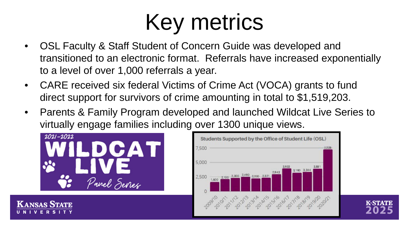- OSL Faculty & Staff Student of Concern Guide was developed and transitioned to an electronic format. Referrals have increased exponentially to a level of over 1,000 referrals a year.
- CARE received six federal Victims of Crime Act (VOCA) grants to fund direct support for survivors of crime amounting in total to \$1,519,203.
- Parents & Family Program developed and launched Wildcat Live Series to virtually engage families including over 1300 unique views.



**KANSAS STATE** 



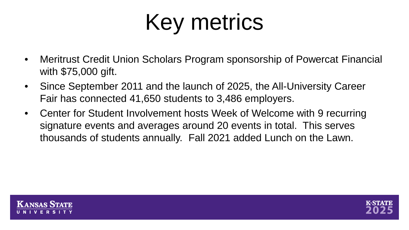- Meritrust Credit Union Scholars Program sponsorship of Powercat Financial with \$75,000 gift.
- Since September 2011 and the launch of 2025, the All-University Career Fair has connected 41,650 students to 3,486 employers.
- Center for Student Involvement hosts Week of Welcome with 9 recurring signature events and averages around 20 events in total. This serves thousands of students annually. Fall 2021 added Lunch on the Lawn.



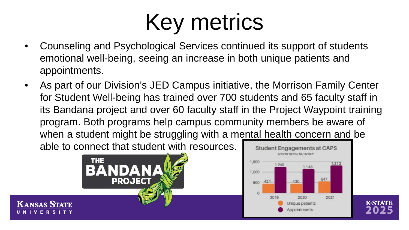- Counseling and Psychological Services continued its support of students emotional well-being, seeing an increase in both unique patients and appointments.
- As part of our Division's JED Campus initiative, the Morrison Family Center for Student Well-being has trained over 700 students and 65 faculty staff in its Bandana project and over 60 faculty staff in the Project Waypoint training program. Both programs help campus community members be aware of when a student might be struggling with a mental health concern and be able to connect that student with resources.



**KANSAS STATE** 



**K-STATE**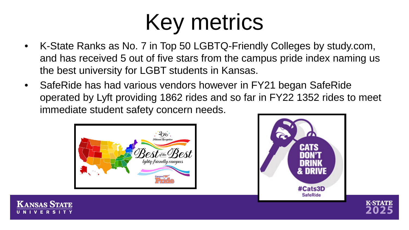- K-State Ranks as No. 7 in Top 50 LGBTQ-Friendly Colleges by study.com, and has received 5 out of five stars from the campus pride index naming us the best university for LGBT students in Kansas.
- SafeRide has had various vendors however in FY21 began SafeRide operated by Lyft providing 1862 rides and so far in FY22 1352 rides to meet immediate student safety concern needs.







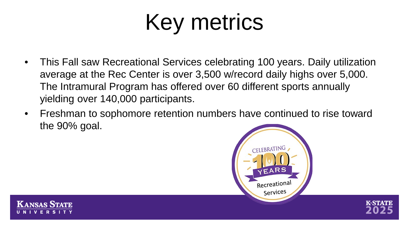- This Fall saw Recreational Services celebrating 100 years. Daily utilization average at the Rec Center is over 3,500 w/record daily highs over 5,000. The Intramural Program has offered over 60 different sports annually yielding over 140,000 participants.
- Freshman to sophomore retention numbers have continued to rise toward the 90% goal.





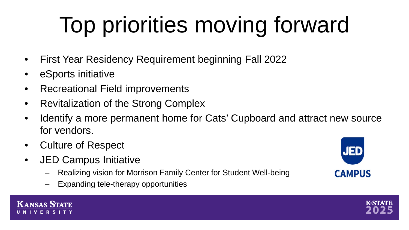# Top priorities moving forward

- First Year Residency Requirement beginning Fall 2022
- eSports initiative
- Recreational Field improvements
- Revitalization of the Strong Complex
- Identify a more permanent home for Cats' Cupboard and attract new source for vendors.
- Culture of Respect
- JED Campus Initiative
	- Realizing vision for Morrison Family Center for Student Well-being
	- Expanding tele-therapy opportunities